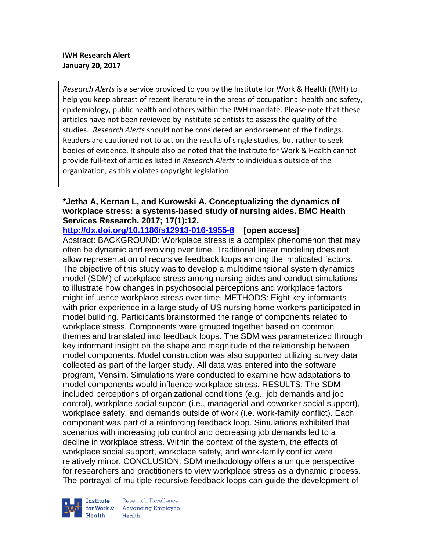## **IWH Research Alert January 20, 2017**

*Research Alerts* is a service provided to you by the Institute for Work & Health (IWH) to help you keep abreast of recent literature in the areas of occupational health and safety, epidemiology, public health and others within the IWH mandate. Please note that these articles have not been reviewed by Institute scientists to assess the quality of the studies. *Research Alerts* should not be considered an endorsement of the findings. Readers are cautioned not to act on the results of single studies, but rather to seek bodies of evidence. It should also be noted that the Institute for Work & Health cannot provide full-text of articles listed in *Research Alerts* to individuals outside of the organization, as this violates copyright legislation.

# **\*Jetha A, Kernan L, and Kurowski A. Conceptualizing the dynamics of workplace stress: a systems-based study of nursing aides. BMC Health Services Research. 2017; 17(1):12.**

**<http://dx.doi.org/10.1186/s12913-016-1955-8>[open access]**

Abstract: BACKGROUND: Workplace stress is a complex phenomenon that may often be dynamic and evolving over time. Traditional linear modeling does not allow representation of recursive feedback loops among the implicated factors. The objective of this study was to develop a multidimensional system dynamics model (SDM) of workplace stress among nursing aides and conduct simulations to illustrate how changes in psychosocial perceptions and workplace factors might influence workplace stress over time. METHODS: Eight key informants with prior experience in a large study of US nursing home workers participated in model building. Participants brainstormed the range of components related to workplace stress. Components were grouped together based on common themes and translated into feedback loops. The SDM was parameterized through key informant insight on the shape and magnitude of the relationship between model components. Model construction was also supported utilizing survey data collected as part of the larger study. All data was entered into the software program, Vensim. Simulations were conducted to examine how adaptations to model components would influence workplace stress. RESULTS: The SDM included perceptions of organizational conditions (e.g., job demands and job control), workplace social support (i.e., managerial and coworker social support), workplace safety, and demands outside of work (i.e. work-family conflict). Each component was part of a reinforcing feedback loop. Simulations exhibited that scenarios with increasing job control and decreasing job demands led to a decline in workplace stress. Within the context of the system, the effects of workplace social support, workplace safety, and work-family conflict were relatively minor. CONCLUSION: SDM methodology offers a unique perspective for researchers and practitioners to view workplace stress as a dynamic process. The portrayal of multiple recursive feedback loops can guide the development of

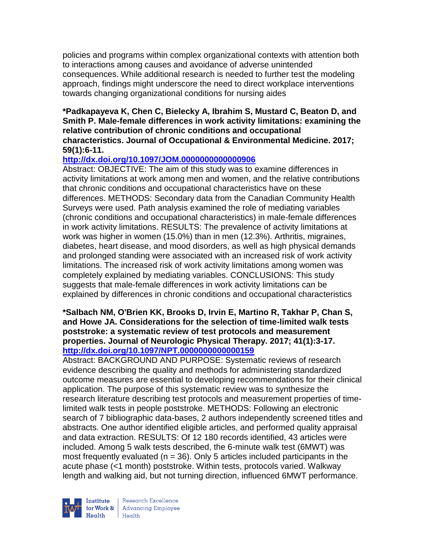policies and programs within complex organizational contexts with attention both to interactions among causes and avoidance of adverse unintended consequences. While additional research is needed to further test the modeling approach, findings might underscore the need to direct workplace interventions towards changing organizational conditions for nursing aides

### **\*Padkapayeva K, Chen C, Bielecky A, Ibrahim S, Mustard C, Beaton D, and Smith P. Male-female differences in work activity limitations: examining the relative contribution of chronic conditions and occupational characteristics. Journal of Occupational & Environmental Medicine. 2017; 59(1):6-11.**

# **<http://dx.doi.org/10.1097/JOM.0000000000000906>**

Abstract: OBJECTIVE: The aim of this study was to examine differences in activity limitations at work among men and women, and the relative contributions that chronic conditions and occupational characteristics have on these differences. METHODS: Secondary data from the Canadian Community Health Surveys were used. Path analysis examined the role of mediating variables (chronic conditions and occupational characteristics) in male-female differences in work activity limitations. RESULTS: The prevalence of activity limitations at work was higher in women (15.0%) than in men (12.3%). Arthritis, migraines, diabetes, heart disease, and mood disorders, as well as high physical demands and prolonged standing were associated with an increased risk of work activity limitations. The increased risk of work activity limitations among women was completely explained by mediating variables. CONCLUSIONS: This study suggests that male-female differences in work activity limitations can be explained by differences in chronic conditions and occupational characteristics

### **\*Salbach NM, O'Brien KK, Brooks D, Irvin E, Martino R, Takhar P, Chan S, and Howe JA. Considerations for the selection of time-limited walk tests poststroke: a systematic review of test protocols and measurement properties. Journal of Neurologic Physical Therapy. 2017; 41(1):3-17. <http://dx.doi.org/10.1097/NPT.0000000000000159>**

Abstract: BACKGROUND AND PURPOSE: Systematic reviews of research evidence describing the quality and methods for administering standardized outcome measures are essential to developing recommendations for their clinical application. The purpose of this systematic review was to synthesize the research literature describing test protocols and measurement properties of timelimited walk tests in people poststroke. METHODS: Following an electronic search of 7 bibliographic data-bases, 2 authors independently screened titles and abstracts. One author identified eligible articles, and performed quality appraisal and data extraction. RESULTS: Of 12 180 records identified, 43 articles were included. Among 5 walk tests described, the 6-minute walk test (6MWT) was most frequently evaluated ( $n = 36$ ). Only 5 articles included participants in the acute phase (<1 month) poststroke. Within tests, protocols varied. Walkway length and walking aid, but not turning direction, influenced 6MWT performance.

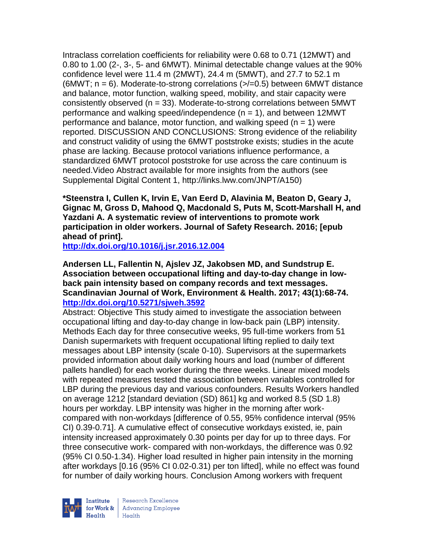Intraclass correlation coefficients for reliability were 0.68 to 0.71 (12MWT) and 0.80 to 1.00 (2-, 3-, 5- and 6MWT). Minimal detectable change values at the 90% confidence level were 11.4 m (2MWT), 24.4 m (5MWT), and 27.7 to 52.1 m (6MWT;  $n = 6$ ). Moderate-to-strong correlations ( $\ge$ /=0.5) between 6MWT distance and balance, motor function, walking speed, mobility, and stair capacity were consistently observed (n = 33). Moderate-to-strong correlations between 5MWT performance and walking speed/independence  $(n = 1)$ , and between 12MWT performance and balance, motor function, and walking speed  $(n = 1)$  were reported. DISCUSSION AND CONCLUSIONS: Strong evidence of the reliability and construct validity of using the 6MWT poststroke exists; studies in the acute phase are lacking. Because protocol variations influence performance, a standardized 6MWT protocol poststroke for use across the care continuum is needed.Video Abstract available for more insights from the authors (see Supplemental Digital Content 1, http://links.lww.com/JNPT/A150)

**\*Steenstra I, Cullen K, Irvin E, Van Eerd D, Alavinia M, Beaton D, Geary J, Gignac M, Gross D, Mahood Q, Macdonald S, Puts M, Scott-Marshall H, and Yazdani A. A systematic review of interventions to promote work participation in older workers. Journal of Safety Research. 2016; [epub ahead of print].**

**<http://dx.doi.org/10.1016/j.jsr.2016.12.004>**

**Andersen LL, Fallentin N, Ajslev JZ, Jakobsen MD, and Sundstrup E. Association between occupational lifting and day-to-day change in lowback pain intensity based on company records and text messages. Scandinavian Journal of Work, Environment & Health. 2017; 43(1):68-74. <http://dx.doi.org/10.5271/sjweh.3592>**

Abstract: Objective This study aimed to investigate the association between occupational lifting and day-to-day change in low-back pain (LBP) intensity. Methods Each day for three consecutive weeks, 95 full-time workers from 51 Danish supermarkets with frequent occupational lifting replied to daily text messages about LBP intensity (scale 0-10). Supervisors at the supermarkets provided information about daily working hours and load (number of different pallets handled) for each worker during the three weeks. Linear mixed models with repeated measures tested the association between variables controlled for LBP during the previous day and various confounders. Results Workers handled on average 1212 [standard deviation (SD) 861] kg and worked 8.5 (SD 1.8) hours per workday. LBP intensity was higher in the morning after workcompared with non-workdays [difference of 0.55, 95% confidence interval (95% CI) 0.39-0.71]. A cumulative effect of consecutive workdays existed, ie, pain intensity increased approximately 0.30 points per day for up to three days. For three consecutive work- compared with non-workdays, the difference was 0.92 (95% CI 0.50-1.34). Higher load resulted in higher pain intensity in the morning after workdays [0.16 (95% CI 0.02-0.31) per ton lifted], while no effect was found for number of daily working hours. Conclusion Among workers with frequent

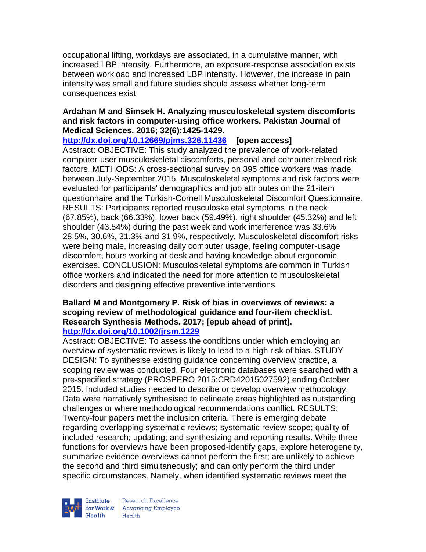occupational lifting, workdays are associated, in a cumulative manner, with increased LBP intensity. Furthermore, an exposure-response association exists between workload and increased LBP intensity. However, the increase in pain intensity was small and future studies should assess whether long-term consequences exist

## **Ardahan M and Simsek H. Analyzing musculoskeletal system discomforts and risk factors in computer-using office workers. Pakistan Journal of Medical Sciences. 2016; 32(6):1425-1429.**

**<http://dx.doi.org/10.12669/pjms.326.11436>[open access]**

Abstract: OBJECTIVE: This study analyzed the prevalence of work-related computer-user musculoskeletal discomforts, personal and computer-related risk factors. METHODS: A cross-sectional survey on 395 office workers was made between July-September 2015. Musculoskeletal symptoms and risk factors were evaluated for participants' demographics and job attributes on the 21-item questionnaire and the Turkish-Cornell Musculoskeletal Discomfort Questionnaire. RESULTS: Participants reported musculoskeletal symptoms in the neck (67.85%), back (66.33%), lower back (59.49%), right shoulder (45.32%) and left shoulder (43.54%) during the past week and work interference was 33.6%, 28.5%, 30.6%, 31.3% and 31.9%, respectively. Musculoskeletal discomfort risks were being male, increasing daily computer usage, feeling computer-usage discomfort, hours working at desk and having knowledge about ergonomic exercises. CONCLUSION: Musculoskeletal symptoms are common in Turkish office workers and indicated the need for more attention to musculoskeletal disorders and designing effective preventive interventions

### **Ballard M and Montgomery P. Risk of bias in overviews of reviews: a scoping review of methodological guidance and four-item checklist. Research Synthesis Methods. 2017; [epub ahead of print]. <http://dx.doi.org/10.1002/jrsm.1229>**

Abstract: OBJECTIVE: To assess the conditions under which employing an overview of systematic reviews is likely to lead to a high risk of bias. STUDY DESIGN: To synthesise existing guidance concerning overview practice, a scoping review was conducted. Four electronic databases were searched with a pre-specified strategy (PROSPERO 2015:CRD42015027592) ending October 2015. Included studies needed to describe or develop overview methodology. Data were narratively synthesised to delineate areas highlighted as outstanding challenges or where methodological recommendations conflict. RESULTS: Twenty-four papers met the inclusion criteria. There is emerging debate regarding overlapping systematic reviews; systematic review scope; quality of included research; updating; and synthesizing and reporting results. While three functions for overviews have been proposed-identify gaps, explore heterogeneity, summarize evidence-overviews cannot perform the first; are unlikely to achieve the second and third simultaneously; and can only perform the third under specific circumstances. Namely, when identified systematic reviews meet the

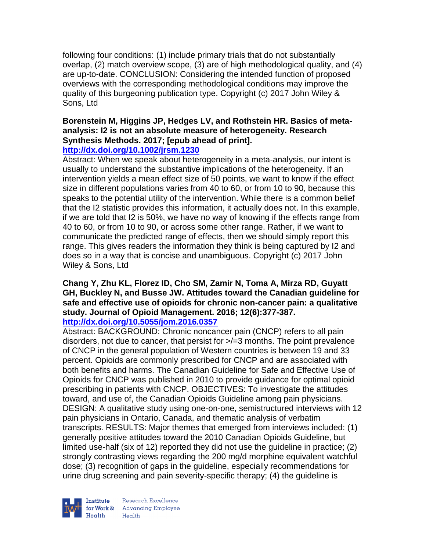following four conditions: (1) include primary trials that do not substantially overlap, (2) match overview scope, (3) are of high methodological quality, and (4) are up-to-date. CONCLUSION: Considering the intended function of proposed overviews with the corresponding methodological conditions may improve the quality of this burgeoning publication type. Copyright (c) 2017 John Wiley & Sons, Ltd

#### **Borenstein M, Higgins JP, Hedges LV, and Rothstein HR. Basics of metaanalysis: I2 is not an absolute measure of heterogeneity. Research Synthesis Methods. 2017; [epub ahead of print]. <http://dx.doi.org/10.1002/jrsm.1230>**

Abstract: When we speak about heterogeneity in a meta-analysis, our intent is usually to understand the substantive implications of the heterogeneity. If an intervention yields a mean effect size of 50 points, we want to know if the effect size in different populations varies from 40 to 60, or from 10 to 90, because this speaks to the potential utility of the intervention. While there is a common belief that the I2 statistic provides this information, it actually does not. In this example, if we are told that I2 is 50%, we have no way of knowing if the effects range from 40 to 60, or from 10 to 90, or across some other range. Rather, if we want to communicate the predicted range of effects, then we should simply report this range. This gives readers the information they think is being captured by I2 and does so in a way that is concise and unambiguous. Copyright (c) 2017 John Wiley & Sons, Ltd

### **Chang Y, Zhu KL, Florez ID, Cho SM, Zamir N, Toma A, Mirza RD, Guyatt GH, Buckley N, and Busse JW. Attitudes toward the Canadian guideline for safe and effective use of opioids for chronic non-cancer pain: a qualitative study. Journal of Opioid Management. 2016; 12(6):377-387. <http://dx.doi.org/10.5055/jom.2016.0357>**

Abstract: BACKGROUND: Chronic noncancer pain (CNCP) refers to all pain disorders, not due to cancer, that persist for >/=3 months. The point prevalence of CNCP in the general population of Western countries is between 19 and 33 percent. Opioids are commonly prescribed for CNCP and are associated with both benefits and harms. The Canadian Guideline for Safe and Effective Use of Opioids for CNCP was published in 2010 to provide guidance for optimal opioid prescribing in patients with CNCP. OBJECTIVES: To investigate the attitudes toward, and use of, the Canadian Opioids Guideline among pain physicians. DESIGN: A qualitative study using one-on-one, semistructured interviews with 12 pain physicians in Ontario, Canada, and thematic analysis of verbatim transcripts. RESULTS: Major themes that emerged from interviews included: (1) generally positive attitudes toward the 2010 Canadian Opioids Guideline, but limited use-half (six of 12) reported they did not use the guideline in practice; (2) strongly contrasting views regarding the 200 mg/d morphine equivalent watchful dose; (3) recognition of gaps in the guideline, especially recommendations for urine drug screening and pain severity-specific therapy; (4) the guideline is

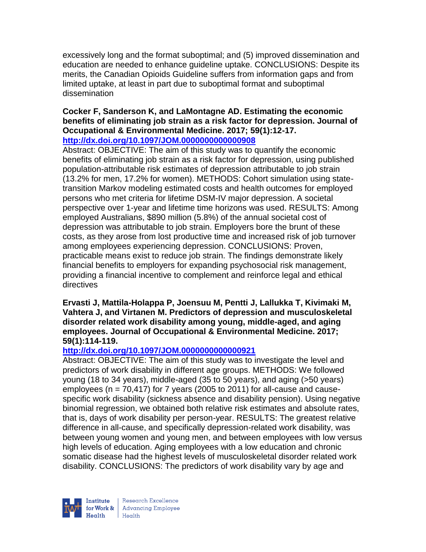excessively long and the format suboptimal; and (5) improved dissemination and education are needed to enhance guideline uptake. CONCLUSIONS: Despite its merits, the Canadian Opioids Guideline suffers from information gaps and from limited uptake, at least in part due to suboptimal format and suboptimal dissemination

#### **Cocker F, Sanderson K, and LaMontagne AD. Estimating the economic benefits of eliminating job strain as a risk factor for depression. Journal of Occupational & Environmental Medicine. 2017; 59(1):12-17. <http://dx.doi.org/10.1097/JOM.0000000000000908>**

Abstract: OBJECTIVE: The aim of this study was to quantify the economic benefits of eliminating job strain as a risk factor for depression, using published population-attributable risk estimates of depression attributable to job strain (13.2% for men, 17.2% for women). METHODS: Cohort simulation using statetransition Markov modeling estimated costs and health outcomes for employed persons who met criteria for lifetime DSM-IV major depression. A societal perspective over 1-year and lifetime time horizons was used. RESULTS: Among employed Australians, \$890 million (5.8%) of the annual societal cost of depression was attributable to job strain. Employers bore the brunt of these costs, as they arose from lost productive time and increased risk of job turnover among employees experiencing depression. CONCLUSIONS: Proven, practicable means exist to reduce job strain. The findings demonstrate likely financial benefits to employers for expanding psychosocial risk management, providing a financial incentive to complement and reinforce legal and ethical directives

## **Ervasti J, Mattila-Holappa P, Joensuu M, Pentti J, Lallukka T, Kivimaki M, Vahtera J, and Virtanen M. Predictors of depression and musculoskeletal disorder related work disability among young, middle-aged, and aging employees. Journal of Occupational & Environmental Medicine. 2017; 59(1):114-119.**

# **<http://dx.doi.org/10.1097/JOM.0000000000000921>**

Abstract: OBJECTIVE: The aim of this study was to investigate the level and predictors of work disability in different age groups. METHODS: We followed young (18 to 34 years), middle-aged (35 to 50 years), and aging (>50 years) employees ( $n = 70,417$ ) for 7 years (2005 to 2011) for all-cause and causespecific work disability (sickness absence and disability pension). Using negative binomial regression, we obtained both relative risk estimates and absolute rates, that is, days of work disability per person-year. RESULTS: The greatest relative difference in all-cause, and specifically depression-related work disability, was between young women and young men, and between employees with low versus high levels of education. Aging employees with a low education and chronic somatic disease had the highest levels of musculoskeletal disorder related work disability. CONCLUSIONS: The predictors of work disability vary by age and

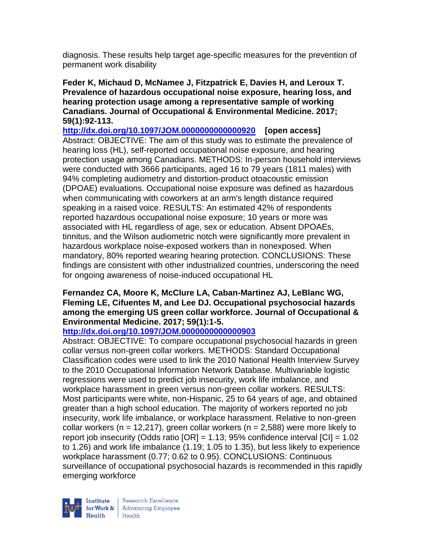diagnosis. These results help target age-specific measures for the prevention of permanent work disability

**Feder K, Michaud D, McNamee J, Fitzpatrick E, Davies H, and Leroux T. Prevalence of hazardous occupational noise exposure, hearing loss, and hearing protection usage among a representative sample of working Canadians. Journal of Occupational & Environmental Medicine. 2017; 59(1):92-113.** 

**<http://dx.doi.org/10.1097/JOM.0000000000000920>[open access]** Abstract: OBJECTIVE: The aim of this study was to estimate the prevalence of hearing loss (HL), self-reported occupational noise exposure, and hearing protection usage among Canadians. METHODS: In-person household interviews were conducted with 3666 participants, aged 16 to 79 years (1811 males) with 94% completing audiometry and distortion-product otoacoustic emission (DPOAE) evaluations. Occupational noise exposure was defined as hazardous when communicating with coworkers at an arm's length distance required speaking in a raised voice. RESULTS: An estimated 42% of respondents reported hazardous occupational noise exposure; 10 years or more was associated with HL regardless of age, sex or education. Absent DPOAEs, tinnitus, and the Wilson audiometric notch were significantly more prevalent in hazardous workplace noise-exposed workers than in nonexposed. When mandatory, 80% reported wearing hearing protection. CONCLUSIONS: These findings are consistent with other industrialized countries, underscoring the need for ongoing awareness of noise-induced occupational HL

## **Fernandez CA, Moore K, McClure LA, Caban-Martinez AJ, LeBlanc WG, Fleming LE, Cifuentes M, and Lee DJ. Occupational psychosocial hazards among the emerging US green collar workforce. Journal of Occupational & Environmental Medicine. 2017; 59(1):1-5.**

## **<http://dx.doi.org/10.1097/JOM.0000000000000903>**

Abstract: OBJECTIVE: To compare occupational psychosocial hazards in green collar versus non-green collar workers. METHODS: Standard Occupational Classification codes were used to link the 2010 National Health Interview Survey to the 2010 Occupational Information Network Database. Multivariable logistic regressions were used to predict job insecurity, work life imbalance, and workplace harassment in green versus non-green collar workers. RESULTS: Most participants were white, non-Hispanic, 25 to 64 years of age, and obtained greater than a high school education. The majority of workers reported no job insecurity, work life imbalance, or workplace harassment. Relative to non-green collar workers ( $n = 12,217$ ), green collar workers ( $n = 2,588$ ) were more likely to report job insecurity (Odds ratio  $[OR] = 1.13$ ; 95% confidence interval  $[CI] = 1.02$ to 1.26) and work life imbalance (1.19; 1.05 to 1.35), but less likely to experience workplace harassment (0.77; 0.62 to 0.95). CONCLUSIONS: Continuous surveillance of occupational psychosocial hazards is recommended in this rapidly emerging workforce



Research Excellence **Institute** Research Excellence<br> **For Work &**<br>
Morth Harlth Harlth  $Heath$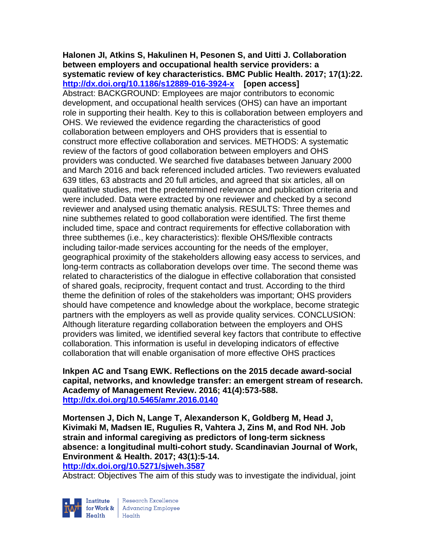**Halonen JI, Atkins S, Hakulinen H, Pesonen S, and Uitti J. Collaboration between employers and occupational health service providers: a systematic review of key characteristics. BMC Public Health. 2017; 17(1):22. <http://dx.doi.org/10.1186/s12889-016-3924-x>[open access]** Abstract: BACKGROUND: Employees are major contributors to economic development, and occupational health services (OHS) can have an important role in supporting their health. Key to this is collaboration between employers and OHS. We reviewed the evidence regarding the characteristics of good collaboration between employers and OHS providers that is essential to construct more effective collaboration and services. METHODS: A systematic review of the factors of good collaboration between employers and OHS providers was conducted. We searched five databases between January 2000 and March 2016 and back referenced included articles. Two reviewers evaluated 639 titles, 63 abstracts and 20 full articles, and agreed that six articles, all on qualitative studies, met the predetermined relevance and publication criteria and were included. Data were extracted by one reviewer and checked by a second reviewer and analysed using thematic analysis. RESULTS: Three themes and nine subthemes related to good collaboration were identified. The first theme included time, space and contract requirements for effective collaboration with three subthemes (i.e., key characteristics): flexible OHS/flexible contracts including tailor-made services accounting for the needs of the employer, geographical proximity of the stakeholders allowing easy access to services, and long-term contracts as collaboration develops over time. The second theme was related to characteristics of the dialogue in effective collaboration that consisted of shared goals, reciprocity, frequent contact and trust. According to the third theme the definition of roles of the stakeholders was important; OHS providers should have competence and knowledge about the workplace, become strategic partners with the employers as well as provide quality services. CONCLUSION: Although literature regarding collaboration between the employers and OHS providers was limited, we identified several key factors that contribute to effective collaboration. This information is useful in developing indicators of effective collaboration that will enable organisation of more effective OHS practices

**Inkpen AC and Tsang EWK. Reflections on the 2015 decade award-social capital, networks, and knowledge transfer: an emergent stream of research. Academy of Management Review. 2016; 41(4):573-588. <http://dx.doi.org/10.5465/amr.2016.0140>**

**Mortensen J, Dich N, Lange T, Alexanderson K, Goldberg M, Head J, Kivimaki M, Madsen IE, Rugulies R, Vahtera J, Zins M, and Rod NH. Job strain and informal caregiving as predictors of long-term sickness absence: a longitudinal multi-cohort study. Scandinavian Journal of Work, Environment & Health. 2017; 43(1):5-14.** 

**<http://dx.doi.org/10.5271/sjweh.3587>**

Abstract: Objectives The aim of this study was to investigate the individual, joint



Research Excellence Health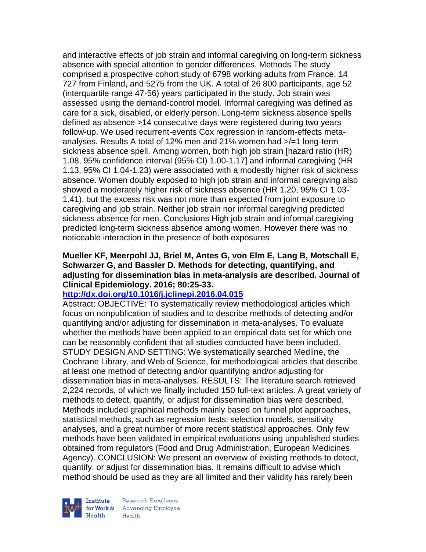and interactive effects of job strain and informal caregiving on long-term sickness absence with special attention to gender differences. Methods The study comprised a prospective cohort study of 6798 working adults from France, 14 727 from Finland, and 5275 from the UK. A total of 26 800 participants, age 52 (interquartile range 47-56) years participated in the study. Job strain was assessed using the demand-control model. Informal caregiving was defined as care for a sick, disabled, or elderly person. Long-term sickness absence spells defined as absence >14 consecutive days were registered during two years follow-up. We used recurrent-events Cox regression in random-effects metaanalyses. Results A total of 12% men and 21% women had >/=1 long-term sickness absence spell. Among women, both high job strain [hazard ratio (HR) 1.08, 95% confidence interval (95% CI) 1.00-1.17] and informal caregiving (HR 1.13, 95% CI 1.04-1.23) were associated with a modestly higher risk of sickness absence. Women doubly exposed to high job strain and informal caregiving also showed a moderately higher risk of sickness absence (HR 1.20, 95% CI 1.03- 1.41), but the excess risk was not more than expected from joint exposure to caregiving and job strain. Neither job strain nor informal caregiving predicted sickness absence for men. Conclusions High job strain and informal caregiving predicted long-term sickness absence among women. However there was no noticeable interaction in the presence of both exposures

## **Mueller KF, Meerpohl JJ, Briel M, Antes G, von Elm E, Lang B, Motschall E, Schwarzer G, and Bassler D. Methods for detecting, quantifying, and adjusting for dissemination bias in meta-analysis are described. Journal of Clinical Epidemiology. 2016; 80:25-33.**

## **<http://dx.doi.org/10.1016/j.jclinepi.2016.04.015>**

Abstract: OBJECTIVE: To systematically review methodological articles which focus on nonpublication of studies and to describe methods of detecting and/or quantifying and/or adjusting for dissemination in meta-analyses. To evaluate whether the methods have been applied to an empirical data set for which one can be reasonably confident that all studies conducted have been included. STUDY DESIGN AND SETTING: We systematically searched Medline, the Cochrane Library, and Web of Science, for methodological articles that describe at least one method of detecting and/or quantifying and/or adjusting for dissemination bias in meta-analyses. RESULTS: The literature search retrieved 2,224 records, of which we finally included 150 full-text articles. A great variety of methods to detect, quantify, or adjust for dissemination bias were described. Methods included graphical methods mainly based on funnel plot approaches, statistical methods, such as regression tests, selection models, sensitivity analyses, and a great number of more recent statistical approaches. Only few methods have been validated in empirical evaluations using unpublished studies obtained from regulators (Food and Drug Administration, European Medicines Agency). CONCLUSION: We present an overview of existing methods to detect, quantify, or adjust for dissemination bias. It remains difficult to advise which method should be used as they are all limited and their validity has rarely been

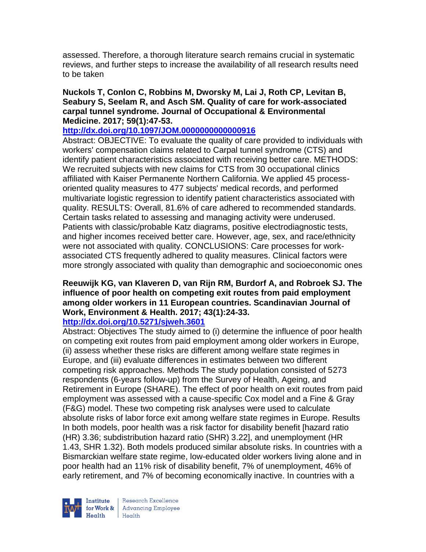assessed. Therefore, a thorough literature search remains crucial in systematic reviews, and further steps to increase the availability of all research results need to be taken

### **Nuckols T, Conlon C, Robbins M, Dworsky M, Lai J, Roth CP, Levitan B, Seabury S, Seelam R, and Asch SM. Quality of care for work-associated carpal tunnel syndrome. Journal of Occupational & Environmental Medicine. 2017; 59(1):47-53.**

## **<http://dx.doi.org/10.1097/JOM.0000000000000916>**

Abstract: OBJECTIVE: To evaluate the quality of care provided to individuals with workers' compensation claims related to Carpal tunnel syndrome (CTS) and identify patient characteristics associated with receiving better care. METHODS: We recruited subjects with new claims for CTS from 30 occupational clinics affiliated with Kaiser Permanente Northern California. We applied 45 processoriented quality measures to 477 subjects' medical records, and performed multivariate logistic regression to identify patient characteristics associated with quality. RESULTS: Overall, 81.6% of care adhered to recommended standards. Certain tasks related to assessing and managing activity were underused. Patients with classic/probable Katz diagrams, positive electrodiagnostic tests, and higher incomes received better care. However, age, sex, and race/ethnicity were not associated with quality. CONCLUSIONS: Care processes for workassociated CTS frequently adhered to quality measures. Clinical factors were more strongly associated with quality than demographic and socioeconomic ones

### **Reeuwijk KG, van Klaveren D, van Rijn RM, Burdorf A, and Robroek SJ. The influence of poor health on competing exit routes from paid employment among older workers in 11 European countries. Scandinavian Journal of Work, Environment & Health. 2017; 43(1):24-33. <http://dx.doi.org/10.5271/sjweh.3601>**

Abstract: Objectives The study aimed to (i) determine the influence of poor health on competing exit routes from paid employment among older workers in Europe, (ii) assess whether these risks are different among welfare state regimes in Europe, and (iii) evaluate differences in estimates between two different competing risk approaches. Methods The study population consisted of 5273 respondents (6-years follow-up) from the Survey of Health, Ageing, and Retirement in Europe (SHARE). The effect of poor health on exit routes from paid employment was assessed with a cause-specific Cox model and a Fine & Gray (F&G) model. These two competing risk analyses were used to calculate absolute risks of labor force exit among welfare state regimes in Europe. Results In both models, poor health was a risk factor for disability benefit [hazard ratio (HR) 3.36; subdistribution hazard ratio (SHR) 3.22], and unemployment (HR 1.43, SHR 1.32). Both models produced similar absolute risks. In countries with a Bismarckian welfare state regime, low-educated older workers living alone and in poor health had an 11% risk of disability benefit, 7% of unemployment, 46% of early retirement, and 7% of becoming economically inactive. In countries with a



Research Excellence  $H_{\text{eath}}$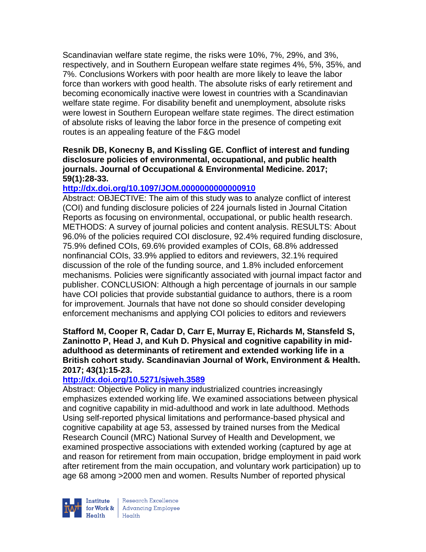Scandinavian welfare state regime, the risks were 10%, 7%, 29%, and 3%, respectively, and in Southern European welfare state regimes 4%, 5%, 35%, and 7%. Conclusions Workers with poor health are more likely to leave the labor force than workers with good health. The absolute risks of early retirement and becoming economically inactive were lowest in countries with a Scandinavian welfare state regime. For disability benefit and unemployment, absolute risks were lowest in Southern European welfare state regimes. The direct estimation of absolute risks of leaving the labor force in the presence of competing exit routes is an appealing feature of the F&G model

## **Resnik DB, Konecny B, and Kissling GE. Conflict of interest and funding disclosure policies of environmental, occupational, and public health journals. Journal of Occupational & Environmental Medicine. 2017; 59(1):28-33.**

## **<http://dx.doi.org/10.1097/JOM.0000000000000910>**

Abstract: OBJECTIVE: The aim of this study was to analyze conflict of interest (COI) and funding disclosure policies of 224 journals listed in Journal Citation Reports as focusing on environmental, occupational, or public health research. METHODS: A survey of journal policies and content analysis. RESULTS: About 96.0% of the policies required COI disclosure, 92.4% required funding disclosure, 75.9% defined COIs, 69.6% provided examples of COIs, 68.8% addressed nonfinancial COIs, 33.9% applied to editors and reviewers, 32.1% required discussion of the role of the funding source, and 1.8% included enforcement mechanisms. Policies were significantly associated with journal impact factor and publisher. CONCLUSION: Although a high percentage of journals in our sample have COI policies that provide substantial guidance to authors, there is a room for improvement. Journals that have not done so should consider developing enforcement mechanisms and applying COI policies to editors and reviewers

### **Stafford M, Cooper R, Cadar D, Carr E, Murray E, Richards M, Stansfeld S, Zaninotto P, Head J, and Kuh D. Physical and cognitive capability in midadulthood as determinants of retirement and extended working life in a British cohort study. Scandinavian Journal of Work, Environment & Health. 2017; 43(1):15-23.**

## **<http://dx.doi.org/10.5271/sjweh.3589>**

Abstract: Objective Policy in many industrialized countries increasingly emphasizes extended working life. We examined associations between physical and cognitive capability in mid-adulthood and work in late adulthood. Methods Using self-reported physical limitations and performance-based physical and cognitive capability at age 53, assessed by trained nurses from the Medical Research Council (MRC) National Survey of Health and Development, we examined prospective associations with extended working (captured by age at and reason for retirement from main occupation, bridge employment in paid work after retirement from the main occupation, and voluntary work participation) up to age 68 among >2000 men and women. Results Number of reported physical

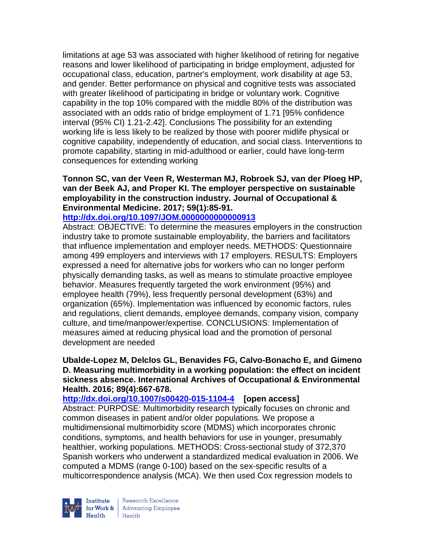limitations at age 53 was associated with higher likelihood of retiring for negative reasons and lower likelihood of participating in bridge employment, adjusted for occupational class, education, partner's employment, work disability at age 53, and gender. Better performance on physical and cognitive tests was associated with greater likelihood of participating in bridge or voluntary work. Cognitive capability in the top 10% compared with the middle 80% of the distribution was associated with an odds ratio of bridge employment of 1.71 [95% confidence interval (95% CI) 1.21-2.42]. Conclusions The possibility for an extending working life is less likely to be realized by those with poorer midlife physical or cognitive capability, independently of education, and social class. Interventions to promote capability, starting in mid-adulthood or earlier, could have long-term consequences for extending working

## **Tonnon SC, van der Veen R, Westerman MJ, Robroek SJ, van der Ploeg HP, van der Beek AJ, and Proper KI. The employer perspective on sustainable employability in the construction industry. Journal of Occupational & Environmental Medicine. 2017; 59(1):85-91.**

#### **<http://dx.doi.org/10.1097/JOM.0000000000000913>**

Abstract: OBJECTIVE: To determine the measures employers in the construction industry take to promote sustainable employability, the barriers and facilitators that influence implementation and employer needs. METHODS: Questionnaire among 499 employers and interviews with 17 employers. RESULTS: Employers expressed a need for alternative jobs for workers who can no longer perform physically demanding tasks, as well as means to stimulate proactive employee behavior. Measures frequently targeted the work environment (95%) and employee health (79%), less frequently personal development (63%) and organization (65%). Implementation was influenced by economic factors, rules and regulations, client demands, employee demands, company vision, company culture, and time/manpower/expertise. CONCLUSIONS: Implementation of measures aimed at reducing physical load and the promotion of personal development are needed

### **Ubalde-Lopez M, Delclos GL, Benavides FG, Calvo-Bonacho E, and Gimeno D. Measuring multimorbidity in a working population: the effect on incident sickness absence. International Archives of Occupational & Environmental Health. 2016; 89(4):667-678.**

#### **<http://dx.doi.org/10.1007/s00420-015-1104-4>[open access]**

Abstract: PURPOSE: Multimorbidity research typically focuses on chronic and common diseases in patient and/or older populations. We propose a multidimensional multimorbidity score (MDMS) which incorporates chronic conditions, symptoms, and health behaviors for use in younger, presumably healthier, working populations. METHODS: Cross-sectional study of 372,370 Spanish workers who underwent a standardized medical evaluation in 2006. We computed a MDMS (range 0-100) based on the sex-specific results of a multicorrespondence analysis (MCA). We then used Cox regression models to